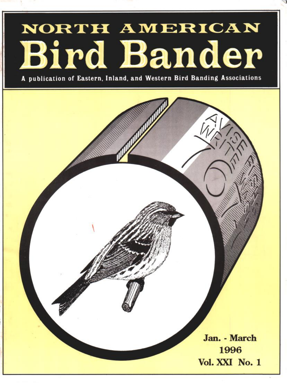# NORTH AMERICAN **Bird Bander**

**A publication of Eastern, Inland, and Western Bird Banding Associations**